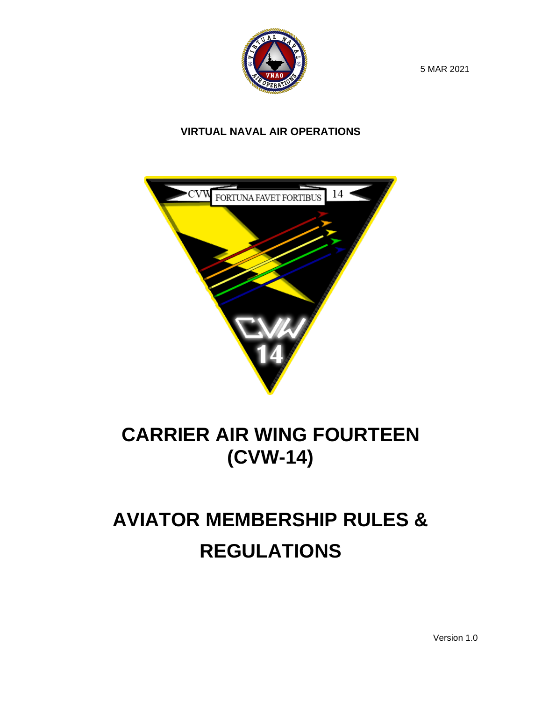

5 MAR 2021

#### **VIRTUAL NAVAL AIR OPERATIONS**



## **CARRIER AIR WING FOURTEEN (CVW-14)**

# **AVIATOR MEMBERSHIP RULES & REGULATIONS**

Version 1.0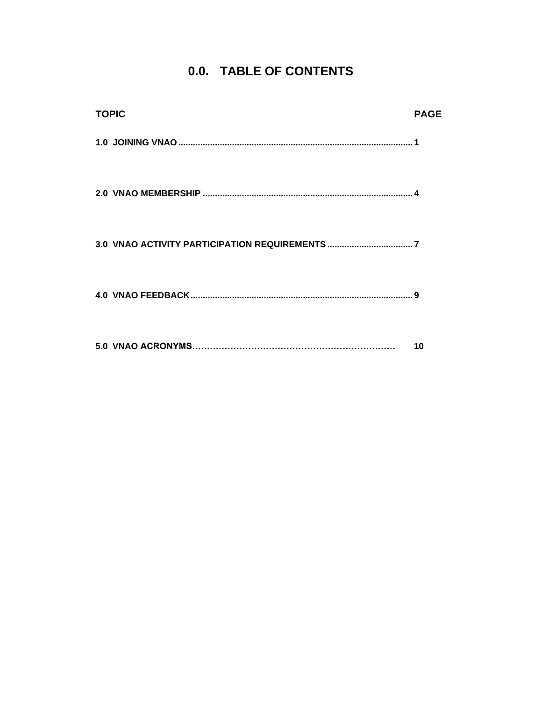#### 0.0. TABLE OF CONTENTS

| <b>TOPIC</b> | <b>PAGE</b> |
|--------------|-------------|
|              |             |
|              |             |
|              |             |
|              | 9           |
|              | 10          |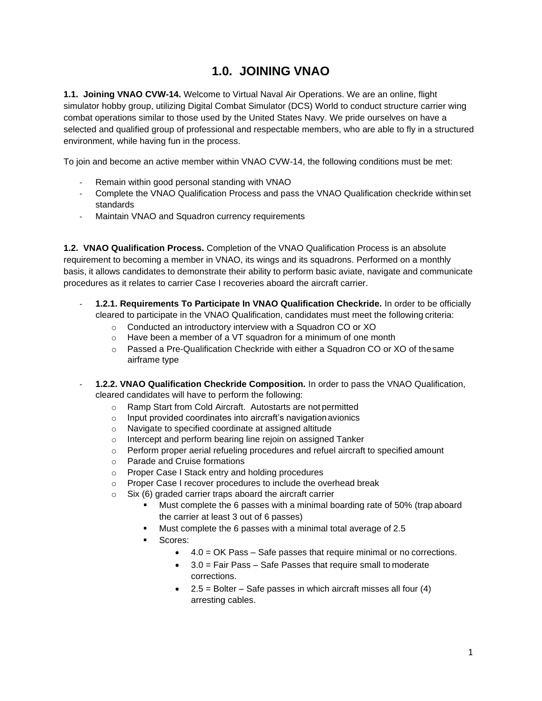#### **1.0. JOINING VNAO**

<span id="page-2-0"></span>**1.1. Joining VNAO CVW-14.** Welcome to Virtual Naval Air Operations. We are an online, flight simulator hobby group, utilizing Digital Combat Simulator (DCS) World to conduct structure carrier wing combat operations similar to those used by the United States Navy. We pride ourselves on have a selected and qualified group of professional and respectable members, who are able to fly in a structured environment, while having fun in the process.

To join and become an active member within VNAO CVW-14, the following conditions must be met:

- Remain within good personal standing with VNAO
- Complete the VNAO Qualification Process and pass the VNAO Qualification checkride within set standards
- Maintain VNAO and Squadron currency requirements

**1.2. VNAO Qualification Process.** Completion of the VNAO Qualification Process is an absolute requirement to becoming a member in VNAO, its wings and its squadrons. Performed on a monthly basis, it allows candidates to demonstrate their ability to perform basic aviate, navigate and communicate procedures as it relates to carrier Case I recoveries aboard the aircraft carrier.

- **1.2.1. Requirements To Participate In VNAO Qualification Checkride.** In order to be officially cleared to participate in the VNAO Qualification, candidates must meet the following criteria:
	- o Conducted an introductory interview with a Squadron CO or XO
	- o Have been a member of a VT squadron for a minimum of one month
	- $\circ$  Passed a Pre-Qualification Checkride with either a Squadron CO or XO of the same airframe type
- **1.2.2. VNAO Qualification Checkride Composition.** In order to pass the VNAO Qualification, cleared candidates will have to perform the following:
	- o Ramp Start from Cold Aircraft. Autostarts are not permitted
	- o Input provided coordinates into aircraft's navigationavionics
	- o Navigate to specified coordinate at assigned altitude
	- o Intercept and perform bearing line rejoin on assigned Tanker
	- o Perform proper aerial refueling procedures and refuel aircraft to specified amount
	- o Parade and Cruise formations
	- o Proper Case I Stack entry and holding procedures
	- o Proper Case I recover procedures to include the overhead break
	- o Six (6) graded carrier traps aboard the aircraft carrier
		- Must complete the 6 passes with a minimal boarding rate of 50% (trap aboard the carrier at least 3 out of 6 passes)
		- Must complete the 6 passes with a minimal total average of 2.5
		- Scores:
			- 4.0 = OK Pass Safe passes that require minimal or no corrections.
			- 3.0 = Fair Pass Safe Passes that require small to moderate corrections.
			- $\bullet$  2.5 = Bolter Safe passes in which aircraft misses all four (4) arresting cables.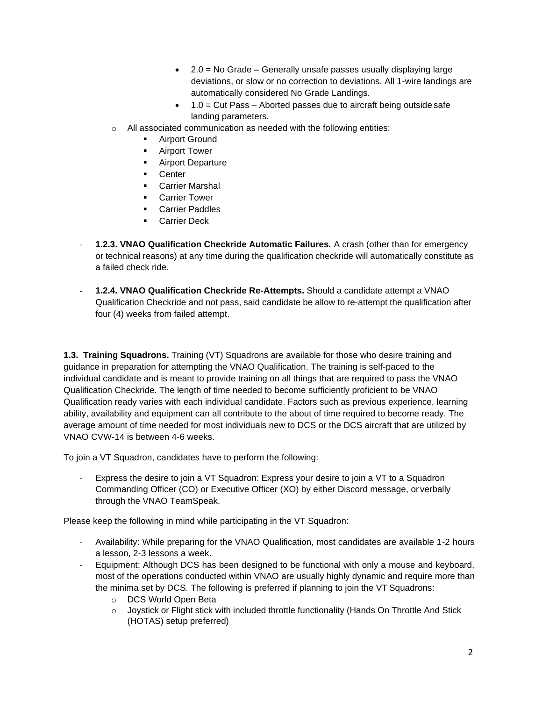- 2.0 = No Grade Generally unsafe passes usually displaying large deviations, or slow or no correction to deviations. All 1-wire landings are automatically considered No Grade Landings.
- $\bullet$  1.0 = Cut Pass Aborted passes due to aircraft being outside safe landing parameters.
- o All associated communication as needed with the following entities:
	- Airport Ground
	- Airport Tower
	- **EXECUTE:** Airport Departure
	- Center
	- Carrier Marshal
	- **Carrier Tower**
	- Carrier Paddles
	- Carrier Deck
- **1.2.3. VNAO Qualification Checkride Automatic Failures.** A crash (other than for emergency or technical reasons) at any time during the qualification checkride will automatically constitute as a failed check ride.
- **1.2.4. VNAO Qualification Checkride Re-Attempts.** Should a candidate attempt a VNAO Qualification Checkride and not pass, said candidate be allow to re-attempt the qualification after four (4) weeks from failed attempt.

**1.3. Training Squadrons.** Training (VT) Squadrons are available for those who desire training and guidance in preparation for attempting the VNAO Qualification. The training is self-paced to the individual candidate and is meant to provide training on all things that are required to pass the VNAO Qualification Checkride. The length of time needed to become sufficiently proficient to be VNAO Qualification ready varies with each individual candidate. Factors such as previous experience, learning ability, availability and equipment can all contribute to the about of time required to become ready. The average amount of time needed for most individuals new to DCS or the DCS aircraft that are utilized by VNAO CVW-14 is between 4-6 weeks.

To join a VT Squadron, candidates have to perform the following:

Express the desire to join a VT Squadron: Express your desire to join a VT to a Squadron Commanding Officer (CO) or Executive Officer (XO) by either Discord message, or verbally through the VNAO TeamSpeak.

Please keep the following in mind while participating in the VT Squadron:

- Availability: While preparing for the VNAO Qualification, most candidates are available 1-2 hours a lesson, 2-3 lessons a week.
- Equipment: Although DCS has been designed to be functional with only a mouse and keyboard, most of the operations conducted within VNAO are usually highly dynamic and require more than the minima set by DCS. The following is preferred if planning to join the VT Squadrons:
	- o DCS World Open Beta
	- o Joystick or Flight stick with included throttle functionality (Hands On Throttle And Stick (HOTAS) setup preferred)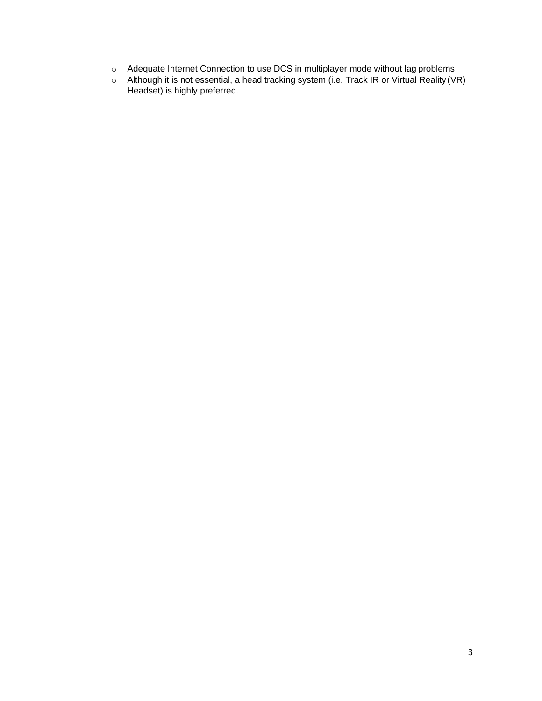- $\circ$  Adequate Internet Connection to use DCS in multiplayer mode without lag problems
- $\circ$  Although it is not essential, a head tracking system (i.e. Track IR or Virtual Reality (VR) Headset) is highly preferred.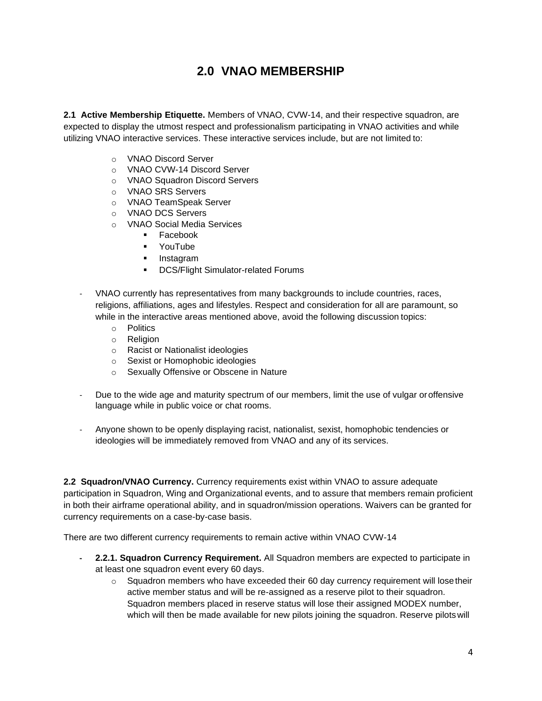#### **2.0 VNAO MEMBERSHIP**

<span id="page-5-0"></span>**2.1 Active Membership Etiquette.** Members of VNAO, CVW-14, and their respective squadron, are expected to display the utmost respect and professionalism participating in VNAO activities and while utilizing VNAO interactive services. These interactive services include, but are not limited to:

- o VNAO Discord Server
- o VNAO CVW-14 Discord Server
- o VNAO Squadron Discord Servers
- o VNAO SRS Servers
- o VNAO TeamSpeak Server
- o VNAO DCS Servers
- o VNAO Social Media Services
	- Facebook
	- YouTube
	- Instagram
	- DCS/Flight Simulator-related Forums
- VNAO currently has representatives from many backgrounds to include countries, races, religions, affiliations, ages and lifestyles. Respect and consideration for all are paramount, so while in the interactive areas mentioned above, avoid the following discussion topics:
	- o Politics
	- o Religion
	- o Racist or Nationalist ideologies
	- o Sexist or Homophobic ideologies
	- o Sexually Offensive or Obscene in Nature
- Due to the wide age and maturity spectrum of our members, limit the use of vulgar oroffensive language while in public voice or chat rooms.
- Anyone shown to be openly displaying racist, nationalist, sexist, homophobic tendencies or ideologies will be immediately removed from VNAO and any of its services.

**2.2 Squadron/VNAO Currency.** Currency requirements exist within VNAO to assure adequate participation in Squadron, Wing and Organizational events, and to assure that members remain proficient in both their airframe operational ability, and in squadron/mission operations. Waivers can be granted for currency requirements on a case-by-case basis.

There are two different currency requirements to remain active within VNAO CVW-14

- **- 2.2.1. Squadron Currency Requirement.** All Squadron members are expected to participate in at least one squadron event every 60 days.
	- $\circ$  Squadron members who have exceeded their 60 day currency requirement will lose their active member status and will be re-assigned as a reserve pilot to their squadron. Squadron members placed in reserve status will lose their assigned MODEX number, which will then be made available for new pilots joining the squadron. Reserve pilotswill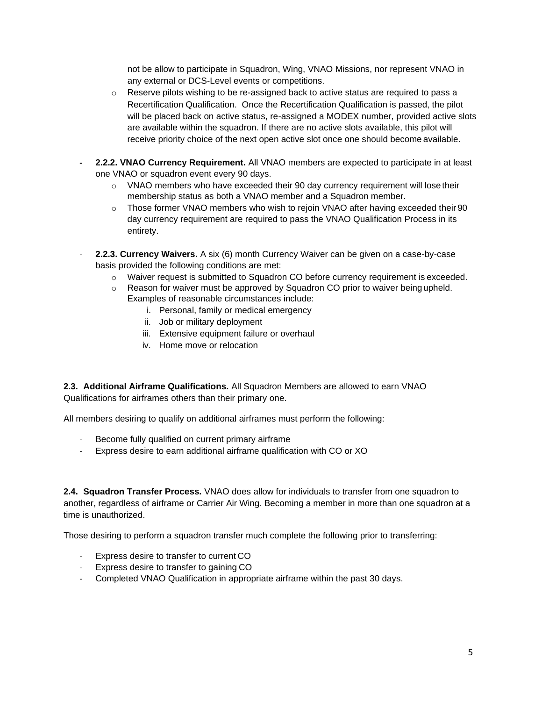not be allow to participate in Squadron, Wing, VNAO Missions, nor represent VNAO in any external or DCS-Level events or competitions.

- o Reserve pilots wishing to be re-assigned back to active status are required to pass a Recertification Qualification. Once the Recertification Qualification is passed, the pilot will be placed back on active status, re-assigned a MODEX number, provided active slots are available within the squadron. If there are no active slots available, this pilot will receive priority choice of the next open active slot once one should become available.
- **- 2.2.2. VNAO Currency Requirement.** All VNAO members are expected to participate in at least one VNAO or squadron event every 90 days.
	- $\circ$  VNAO members who have exceeded their 90 day currency requirement will lose their membership status as both a VNAO member and a Squadron member.
	- $\circ$  Those former VNAO members who wish to rejoin VNAO after having exceeded their 90 day currency requirement are required to pass the VNAO Qualification Process in its entirety.
- **2.2.3. Currency Waivers.** A six (6) month Currency Waiver can be given on a case-by-case basis provided the following conditions are met:
	- o Waiver request is submitted to Squadron CO before currency requirement is exceeded.
	- $\circ$  Reason for waiver must be approved by Squadron CO prior to waiver being upheld. Examples of reasonable circumstances include:
		- i. Personal, family or medical emergency
		- ii. Job or military deployment
		- iii. Extensive equipment failure or overhaul
		- iv. Home move or relocation

**2.3. Additional Airframe Qualifications.** All Squadron Members are allowed to earn VNAO Qualifications for airframes others than their primary one.

All members desiring to qualify on additional airframes must perform the following:

- Become fully qualified on current primary airframe
- Express desire to earn additional airframe qualification with CO or XO

**2.4. Squadron Transfer Process.** VNAO does allow for individuals to transfer from one squadron to another, regardless of airframe or Carrier Air Wing. Becoming a member in more than one squadron at a time is unauthorized.

Those desiring to perform a squadron transfer much complete the following prior to transferring:

- Express desire to transfer to current CO
- Express desire to transfer to gaining CO
- Completed VNAO Qualification in appropriate airframe within the past 30 days.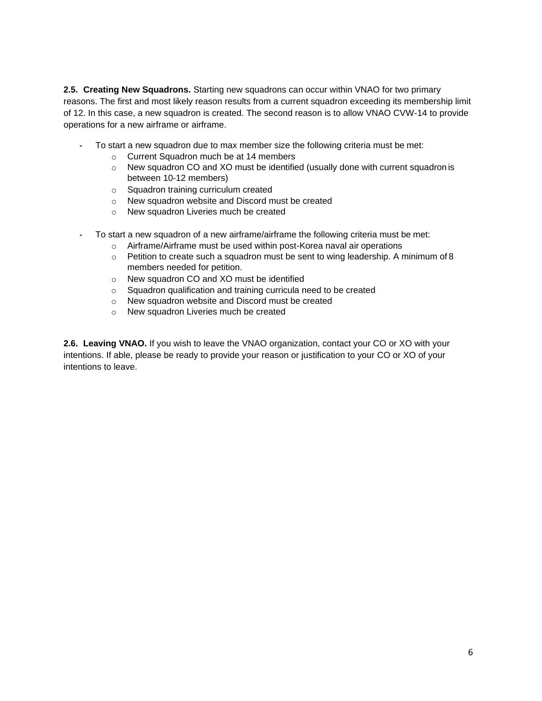**2.5. Creating New Squadrons.** Starting new squadrons can occur within VNAO for two primary reasons. The first and most likely reason results from a current squadron exceeding its membership limit of 12. In this case, a new squadron is created. The second reason is to allow VNAO CVW-14 to provide operations for a new airframe or airframe.

- **-** To start a new squadron due to max member size the following criteria must be met:
	- o Current Squadron much be at 14 members
	- $\circ$  New squadron CO and XO must be identified (usually done with current squadron is between 10-12 members)
	- o Squadron training curriculum created
	- o New squadron website and Discord must be created
	- o New squadron Liveries much be created
- **-** To start a new squadron of a new airframe/airframe the following criteria must be met:
	- o Airframe/Airframe must be used within post-Korea naval air operations
	- $\circ$  Petition to create such a squadron must be sent to wing leadership. A minimum of 8 members needed for petition.
	- o New squadron CO and XO must be identified
	- o Squadron qualification and training curricula need to be created
	- o New squadron website and Discord must be created
	- o New squadron Liveries much be created

**2.6. Leaving VNAO.** If you wish to leave the VNAO organization, contact your CO or XO with your intentions. If able, please be ready to provide your reason or justification to your CO or XO of your intentions to leave.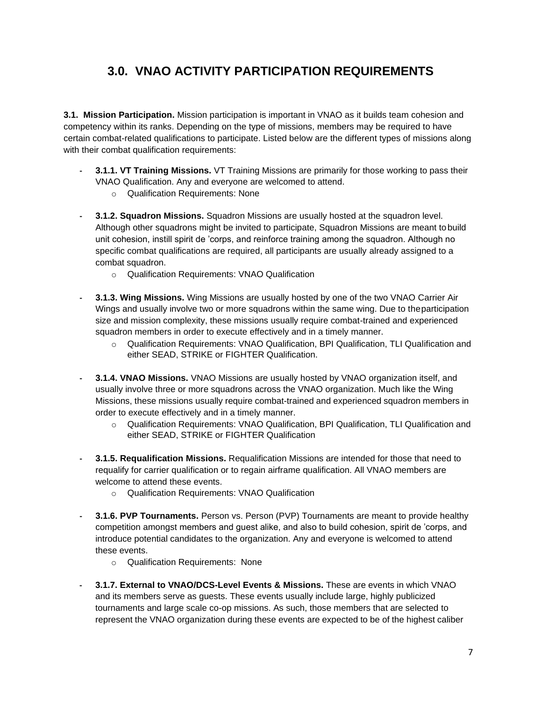#### **3.0. VNAO ACTIVITY PARTICIPATION REQUIREMENTS**

<span id="page-8-0"></span>**3.1. Mission Participation.** Mission participation is important in VNAO as it builds team cohesion and competency within its ranks. Depending on the type of missions, members may be required to have certain combat-related qualifications to participate. Listed below are the different types of missions along with their combat qualification requirements:

- **- 3.1.1. VT Training Missions.** VT Training Missions are primarily for those working to pass their VNAO Qualification. Any and everyone are welcomed to attend.
	- o Qualification Requirements: None
- **- 3.1.2. Squadron Missions.** Squadron Missions are usually hosted at the squadron level. Although other squadrons might be invited to participate, Squadron Missions are meant tobuild unit cohesion, instill spirit de 'corps, and reinforce training among the squadron. Although no specific combat qualifications are required, all participants are usually already assigned to a combat squadron.
	- o Qualification Requirements: VNAO Qualification
- **- 3.1.3. Wing Missions.** Wing Missions are usually hosted by one of the two VNAO Carrier Air Wings and usually involve two or more squadrons within the same wing. Due to theparticipation size and mission complexity, these missions usually require combat-trained and experienced squadron members in order to execute effectively and in a timely manner.
	- o Qualification Requirements: VNAO Qualification, BPI Qualification, TLI Qualification and either SEAD, STRIKE or FIGHTER Qualification.
- **- 3.1.4. VNAO Missions.** VNAO Missions are usually hosted by VNAO organization itself, and usually involve three or more squadrons across the VNAO organization. Much like the Wing Missions, these missions usually require combat-trained and experienced squadron members in order to execute effectively and in a timely manner.
	- o Qualification Requirements: VNAO Qualification, BPI Qualification, TLI Qualification and either SEAD, STRIKE or FIGHTER Qualification
- **- 3.1.5. Requalification Missions.** Requalification Missions are intended for those that need to requalify for carrier qualification or to regain airframe qualification. All VNAO members are welcome to attend these events.
	- o Qualification Requirements: VNAO Qualification
- **- 3.1.6. PVP Tournaments.** Person vs. Person (PVP) Tournaments are meant to provide healthy competition amongst members and guest alike, and also to build cohesion, spirit de 'corps, and introduce potential candidates to the organization. Any and everyone is welcomed to attend these events.
	- o Qualification Requirements: None
- **- 3.1.7. External to VNAO/DCS-Level Events & Missions.** These are events in which VNAO and its members serve as guests. These events usually include large, highly publicized tournaments and large scale co-op missions. As such, those members that are selected to represent the VNAO organization during these events are expected to be of the highest caliber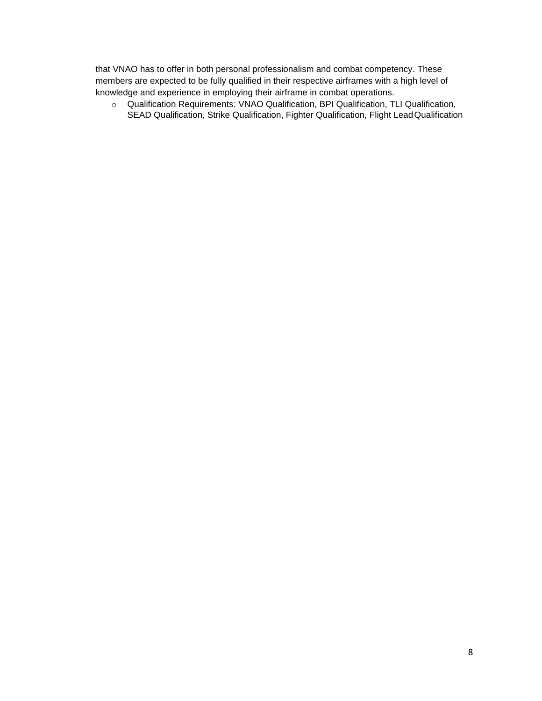that VNAO has to offer in both personal professionalism and combat competency. These members are expected to be fully qualified in their respective airframes with a high level of knowledge and experience in employing their airframe in combat operations.

o Qualification Requirements: VNAO Qualification, BPI Qualification, TLI Qualification, SEAD Qualification, Strike Qualification, Fighter Qualification, Flight LeadQualification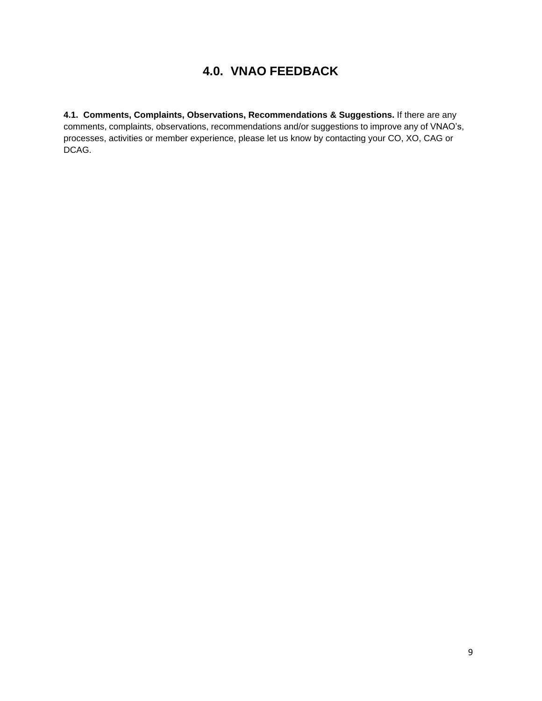#### **4.0. VNAO FEEDBACK**

<span id="page-10-0"></span>**4.1. Comments, Complaints, Observations, Recommendations & Suggestions.** If there are any comments, complaints, observations, recommendations and/or suggestions to improve any of VNAO's, processes, activities or member experience, please let us know by contacting your CO, XO, CAG or DCAG.